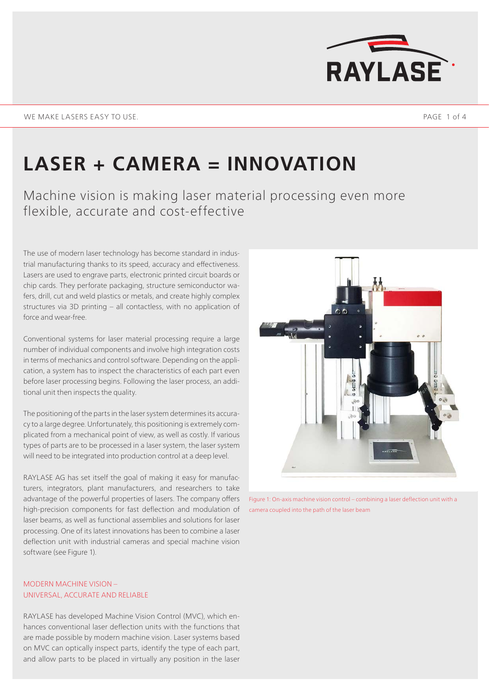

Machine vision is making laser material processing even more flexible, accurate and cost-effective

The use of modern laser technology has become standard in industrial manufacturing thanks to its speed, accuracy and effectiveness. Lasers are used to engrave parts, electronic printed circuit boards or chip cards. They perforate packaging, structure semiconductor wafers, drill, cut and weld plastics or metals, and create highly complex structures via 3D printing – all contactless, with no application of force and wear-free.

Conventional systems for laser material processing require a large number of individual components and involve high integration costs in terms of mechanics and control software. Depending on the application, a system has to inspect the characteristics of each part even before laser processing begins. Following the laser process, an additional unit then inspects the quality.

The positioning of the parts in the laser system determines its accuracy to a large degree. Unfortunately, this positioning is extremely complicated from a mechanical point of view, as well as costly. If various types of parts are to be processed in a laser system, the laser system will need to be integrated into production control at a deep level.

RAYLASE AG has set itself the goal of making it easy for manufacturers, integrators, plant manufacturers, and researchers to take advantage of the powerful properties of lasers. The company offers high-precision components for fast deflection and modulation of laser beams, as well as functional assemblies and solutions for laser processing. One of its latest innovations has been to combine a laser deflection unit with industrial cameras and special machine vision software (see Figure 1).

### MODERN MACHINE VISION – UNIVERSAL, ACCURATE AND RELIABLE

RAYLASE has developed Machine Vision Control (MVC), which enhances conventional laser deflection units with the functions that are made possible by modern machine vision. Laser systems based on MVC can optically inspect parts, identify the type of each part, and allow parts to be placed in virtually any position in the laser



Figure 1: On-axis machine vision control – combining a laser deflection unit with a camera coupled into the path of the laser beam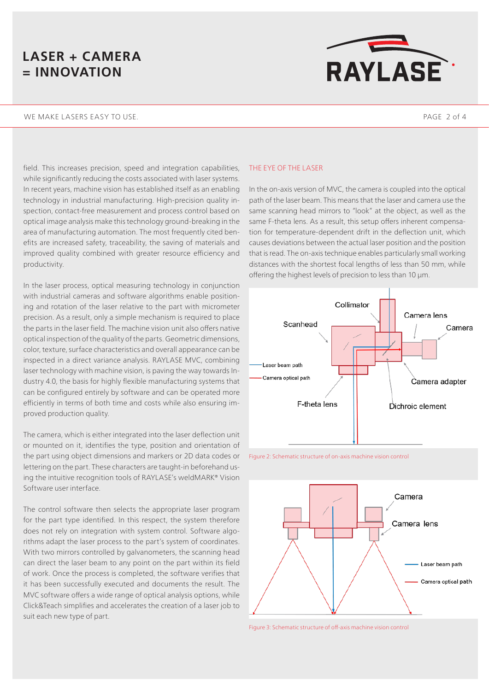



field. This increases precision, speed and integration capabilities, while significantly reducing the costs associated with laser systems. In recent years, machine vision has established itself as an enabling technology in industrial manufacturing. High-precision quality inspection, contact-free measurement and process control based on optical image analysis make this technology ground-breaking in the area of manufacturing automation. The most frequently cited benefits are increased safety, traceability, the saving of materials and improved quality combined with greater resource efficiency and productivity.

In the laser process, optical measuring technology in conjunction with industrial cameras and software algorithms enable positioning and rotation of the laser relative to the part with micrometer precision. As a result, only a simple mechanism is required to place the parts in the laser field. The machine vision unit also offers native optical inspection of the quality of the parts. Geometric dimensions, color, texture, surface characteristics and overall appearance can be inspected in a direct variance analysis. RAYLASE MVC, combining laser technology with machine vision, is paving the way towards Industry 4.0, the basis for highly flexible manufacturing systems that can be configured entirely by software and can be operated more efficiently in terms of both time and costs while also ensuring improved production quality.

The camera, which is either integrated into the laser deflection unit or mounted on it, identifies the type, position and orientation of the part using object dimensions and markers or 2D data codes or lettering on the part. These characters are taught-in beforehand using the intuitive recognition tools of RAYLASE's weldMARK® Vision Software user interface.

The control software then selects the appropriate laser program for the part type identified. In this respect, the system therefore does not rely on integration with system control. Software algorithms adapt the laser process to the part's system of coordinates. With two mirrors controlled by galvanometers, the scanning head can direct the laser beam to any point on the part within its field of work. Once the process is completed, the software verifies that it has been successfully executed and documents the result. The MVC software offers a wide range of optical analysis options, while Click&Teach simplifies and accelerates the creation of a laser job to suit each new type of part.

### THE EYE OF THE LASER

In the on-axis version of MVC, the camera is coupled into the optical path of the laser beam. This means that the laser and camera use the same scanning head mirrors to "look" at the object, as well as the same F-theta lens. As a result, this setup offers inherent compensation for temperature-dependent drift in the deflection unit, which causes deviations between the actual laser position and the position that is read. The on-axis technique enables particularly small working distances with the shortest focal lengths of less than 50 mm, while offering the highest levels of precision to less than 10 µm.







Figure 3: Schematic structure of off-axis machine vision control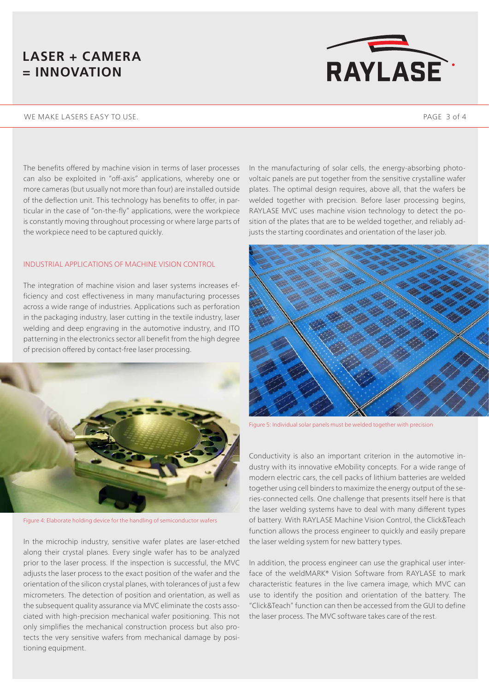

#### WE MAKE LASERS EASY TO USE. The state of the state of the state of the state of the state of the state of the state of the state of the state of the state of the state of the state of the state of the state of the state of

The benefits offered by machine vision in terms of laser processes can also be exploited in "off-axis" applications, whereby one or more cameras (but usually not more than four) are installed outside of the deflection unit. This technology has benefits to offer, in particular in the case of "on-the-fly" applications, were the workpiece is constantly moving throughout processing or where large parts of the workpiece need to be captured quickly.

### INDUSTRIAL APPLICATIONS OF MACHINE VISION CONTROL

The integration of machine vision and laser systems increases efficiency and cost effectiveness in many manufacturing processes across a wide range of industries. Applications such as perforation in the packaging industry, laser cutting in the textile industry, laser welding and deep engraving in the automotive industry, and ITO patterning in the electronics sector all benefit from the high degree of precision offered by contact-free laser processing.



Figure 4: Elaborate holding device for the handling of semiconductor wafers

In the microchip industry, sensitive wafer plates are laser-etched along their crystal planes. Every single wafer has to be analyzed prior to the laser process. If the inspection is successful, the MVC adjusts the laser process to the exact position of the wafer and the orientation of the silicon crystal planes, with tolerances of just a few micrometers. The detection of position and orientation, as well as the subsequent quality assurance via MVC eliminate the costs associated with high-precision mechanical wafer positioning. This not only simplifies the mechanical construction process but also protects the very sensitive wafers from mechanical damage by positioning equipment.

In the manufacturing of solar cells, the energy-absorbing photovoltaic panels are put together from the sensitive crystalline wafer plates. The optimal design requires, above all, that the wafers be welded together with precision. Before laser processing begins, RAYLASE MVC uses machine vision technology to detect the position of the plates that are to be welded together, and reliably adjusts the starting coordinates and orientation of the laser job.



Figure 5: Individual solar panels must be welded together with precision

Conductivity is also an important criterion in the automotive industry with its innovative eMobility concepts. For a wide range of modern electric cars, the cell packs of lithium batteries are welded together using cell binders to maximize the energy output of the series-connected cells. One challenge that presents itself here is that the laser welding systems have to deal with many different types of battery. With RAYLASE Machine Vision Control, the Click&Teach function allows the process engineer to quickly and easily prepare the laser welding system for new battery types.

In addition, the process engineer can use the graphical user interface of the weldMARK® Vision Software from RAYLASE to mark characteristic features in the live camera image, which MVC can use to identify the position and orientation of the battery. The "Click&Teach" function can then be accessed from the GUI to define the laser process. The MVC software takes care of the rest.